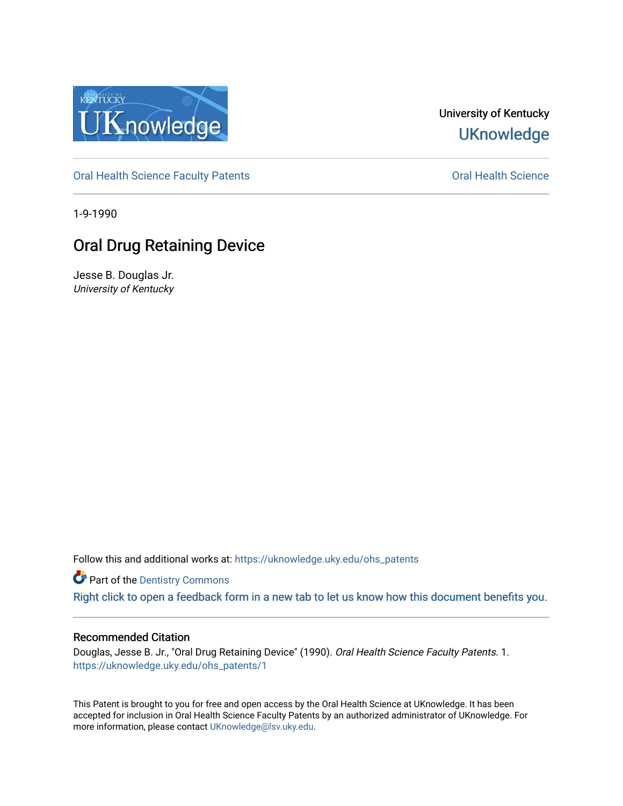

University of Kentucky **UKnowledge** 

[Oral Health Science Faculty Patents](https://uknowledge.uky.edu/ohs_patents) **Construction Construction Construction** Oral Health Science

1-9-1990

# Oral Drug Retaining Device

Jesse B. Douglas Jr. University of Kentucky

Follow this and additional works at: [https://uknowledge.uky.edu/ohs\\_patents](https://uknowledge.uky.edu/ohs_patents?utm_source=uknowledge.uky.edu%2Fohs_patents%2F1&utm_medium=PDF&utm_campaign=PDFCoverPages) 

**Part of the Dentistry Commons** 

[Right click to open a feedback form in a new tab to let us know how this document benefits you.](https://uky.az1.qualtrics.com/jfe/form/SV_9mq8fx2GnONRfz7)

## Recommended Citation

Douglas, Jesse B. Jr., "Oral Drug Retaining Device" (1990). Oral Health Science Faculty Patents. 1. [https://uknowledge.uky.edu/ohs\\_patents/1](https://uknowledge.uky.edu/ohs_patents/1?utm_source=uknowledge.uky.edu%2Fohs_patents%2F1&utm_medium=PDF&utm_campaign=PDFCoverPages) 

This Patent is brought to you for free and open access by the Oral Health Science at UKnowledge. It has been accepted for inclusion in Oral Health Science Faculty Patents by an authorized administrator of UKnowledge. For more information, please contact [UKnowledge@lsv.uky.edu](mailto:UKnowledge@lsv.uky.edu).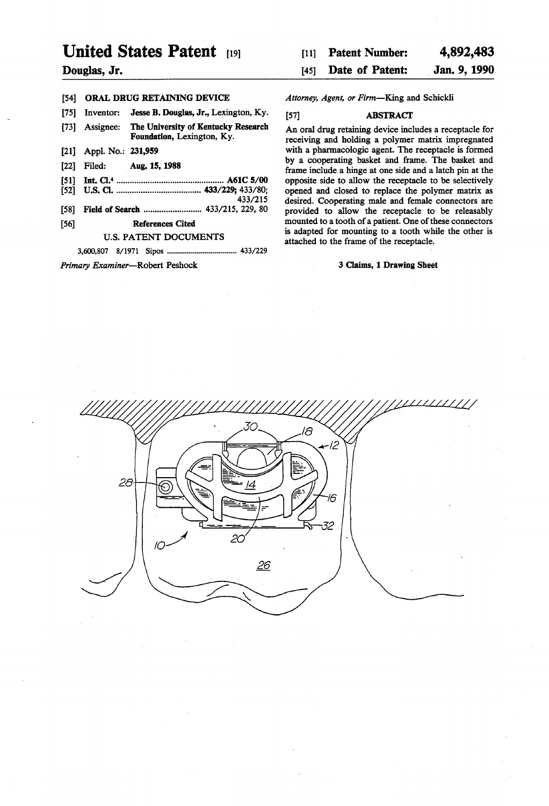# United States Patent [191]

### Douglas, Jr.

## [54] ORAL DRUG RETAINING DEVICE

[75] Inventor: Jesse B. Douglas, Jr., Lexington, Ky.

- [73] Assignee: The University of Kentucky Research Foundation, Lexington, Ky.
- [21] Appl. No.: 231,959
- [22] Filed: Aug.15, 1988
- [s 1] Int. 01.4 .............................................. .. A61C 5/00
- [52] us. (:1. .................................... .. 433/229; 433/80; 433/215
- [58] Field of Search ................................. 433/215, 229, 80

#### [56] References Cited

#### U.S. PATENT DOCUMENTS

3,600,807 8/1971 Sipos ................................. .. 433/229

Primary Examiner-Robert Peshock

| $[11]$ | <b>Patent Number:</b> | 4,892,483    |
|--------|-----------------------|--------------|
|        | [45] Date of Patent:  | Jan. 9, 1990 |

#### Attorney, Agent, or Firm-King and Schickli

#### [57] ABSTRACT

An oral drug retaining device includes a receptacle for receiving and holding a polymer matrix impregnated with a pharmacologic agent. The receptacle is formed by a cooperating basket and frame. The basket and frame include a hinge at one side and a latch pin at the opposite side to allow the receptacle to be selectively opened and closed to replace the polymer matrix as desired. Cooperating male and female connectors are provided to allow the receptacle to be releasably mounted to a tooth of a patient. One of these connectors is adapted for mounting to a tooth while the other is attached to the frame of the receptacle.

#### 3 Claims, 1 Drawing Sheet

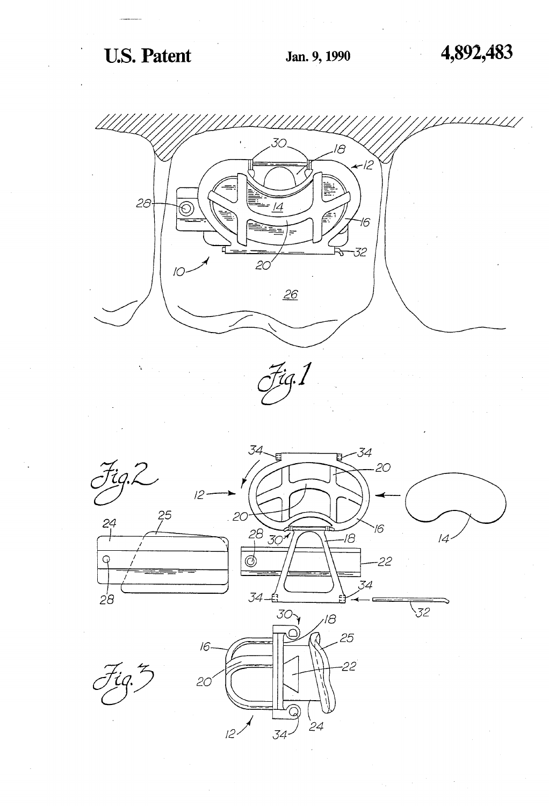# U.S. Patent Jan. 9, 1990 4,892,483





 $24$ 

 $34 -$ 

 $l^2$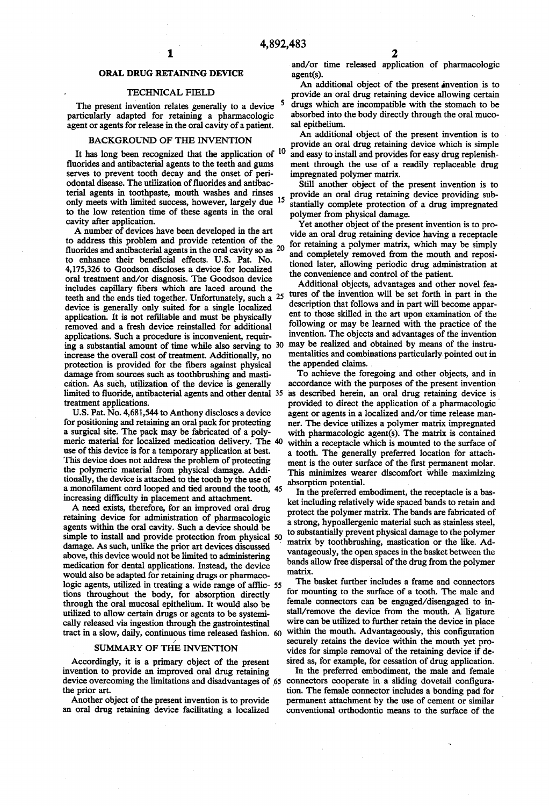#### ORAL DRUG RETAINING DEVICE

#### TECHNICAL FIELD

The present invention relates generally to a device <sup>5</sup> particularly adapted for retaining a pharmacologic agent or agents for release in the oral cavity of a patient.

#### BACKGROUND OF THE INVENTION

It has long been recognized that the application of <sup>10</sup> fluorides and antibacterial agents to the teeth and gums serves to prevent tooth decay and the onset of peri odontal disease. The utilization of fluorides and antibacterial agents in toothpaste, mouth washes and rinses only meets with limited success, however, largely due <sup>15</sup> to the low retention time of these agents in the oral cavity after application.

A number of devices have been developed in the art to address this problem and provide retention of the fluorides and antibacterial agents in the oral cavity so as  $20$ to enhance their beneficial effects. U.S. Pat. No. 4,175,326 to Goodson discloses a device for localized oral treatment and/or diagnosis. The Goodson device includes capillary fibers which are laced around the application. It is not refillable and must be physically removed and a fresh device reinstalled for additional applications. Such a procedure is inconvenient, requir ing a substantial amount of time while also serving to 30 increase the overall cost of treatment. Additionally, no protection is provided for the fibers against physical damage from sources such as toothbrushing and masti ca'tion. As such, utilization of the device is generally limited to fluoride, antibacterial agents and other dental  $35$ treatment applications.

U.S. Pat. No. 4,681,544 to Anthony discloses a device for positioning and retaining an oral pack for protecting a surgical site. The pack may be fabricated of a polyuse of this device is for a temporary application at best. This device does not address the problem of protecting the polymeric material from physical damage. Addi tionally, the device is attached to the tooth by the use of a monofilament cord looped and tied around the tooth, 45 increasing difficulty in placement and attachment. meric material for localized medication delivery. The 40

A need exists, therefore, for an improved oral drug retaining device for administration of pharmacologic agents within the oral cavity. Such a device should be simple to install and provide protection from physical 50 damage. As such, unlike the prior art devices discussed above, this device would not be limited to administering medication for dental applications. Instead, the device would also be adapted for retaining drugs or pharmaco logic agents, utilized in treating a wide range of afflic- 55 tions throughout the body, for absorption directly through the oral mucosal epithelium. It would also be utilized to allow certain drugs or agents to be systemi cally released via ingestion through the gastrointestinal tract in a slow, daily, continuous time released fashion.

#### SUMMARY OF THE INVENTION

Accordingly, it is a primary object of the present invention to provide an improved oral drug retaining device overcoming the limitations and disadvantages of  $65$  connectors cooperate in a sliding dovetail configurathe prior art.

Another object of the present invention is to provide an oral drug retaining device facilitating a localized

and/or time released application of pharmacologic agent(s).

An additional object of the present invention is to provide an oral drug retaining device allowing certain drugs which are incompatible with the stomach to be absorbed into the body directly through the oral muco sal epithelium.

An additional object of the present invention is to provide an oral drug retaining device which is simple and easy to install and provides for easy drug replenish ment through the use of a readily replaceable drug impregnated polymer matrix.

Still another object of the present invention is to provide an oral drug retaining device providing sub stantially complete protection of a drug impregnated polymer from physical damage.

Yet another object of the present invention is to pro vide an oral drug retaining device having a receptacle for retaining a polymer matrix, which may be simply and completely removed from the mouth and reposi tioned later, allowing periodic drug administration at the convenience and control of the patient.

teeth and the ends tied together. Unfortunately, such a 25 tures of the invention will be set forth in part in the device is generally only suited for a single localized description that follows and in part will become app Additional objects, advantages and other novel fea description that follows and in part will become appar ent to those skilled in the art upon examination of the following or may be learned with the practice of the invention. The objects and advantages of the invention may be realized and obtained by means of the instru mentalities and combinations particularly pointed out in the appended claims.

> To achieve the foregoing and other objects, and in accordance with the purposes of the present invention as described herein, an oral drug retaining device is provided to direct the application of a pharmacologic agent or agents in a localized and/or time release man ner. The device utilizes a polymer matrix impregnated with pharmacologic agent(s). The matrix is contained within a receptacle which is mounted to the surface of a tooth. The generally preferred location for attach ment is the outer surface of the first permanent molar. This minimizes wearer discomfort while maximizing absorption potential.

> In the preferred embodiment, the receptacle is a bas ket including relatively wide spaced bands to retain and protect the polymer matrix. The bands are fabricated of a strong, hypoallergenic material such as stainless steel, to substantially prevent physical damage to the polymer matrix by toothbrushing, mastication or the like. Ad vantageously, the open spaces in the basket between the bands allow free dispersal of the drug from the polymer matrix.

> The basket further includes a frame and connectors for mounting to the surface of a tooth. The male and female connectors can be engaged/disengaged to in stall/remove the device from the mouth. A ligature wire can be utilized to further retain the device in place within the mouth. Advantageously, this configuration securely retains the device within the mouth yet pro vides for simple removal of the retaining device if de sired as, for example, for cessation of drug application.

> In the preferred embodiment, the male and female tion. The female connector includes a bonding pad for permanent attachment by the use of cement or similar conventional orthodontic means to the surface of the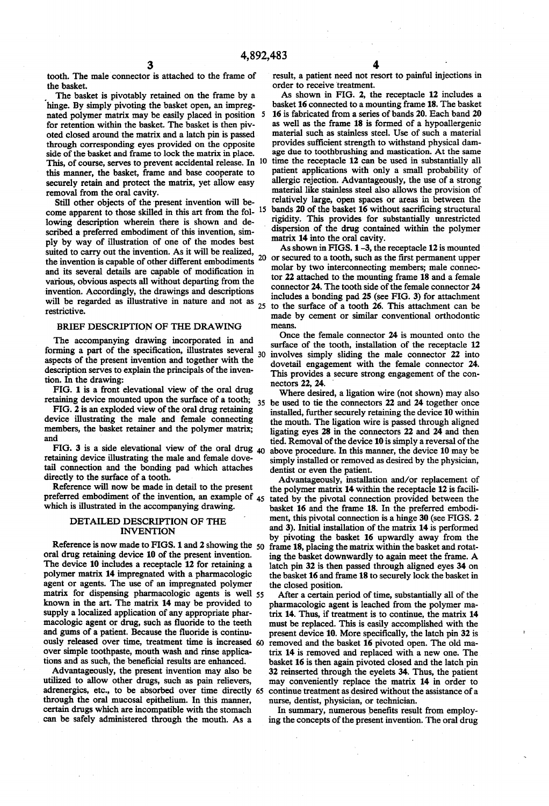tooth. The male connector is attached to the frame of the basket.

The basket is pivotably retained on the frame by a 'hinge. By simply pivoting the basket open, an impreg nated polymer matrix may be easily placed in position for retention within the basket. The basket is then piv oted closed around the matrix and a latch pin is passed through corresponding eyes provided on the opposite side of the basket and frame to lock the matrix in place. This, of course, serves to prevent accidental release. In 10 this manner, the basket, frame and base cooperate to securely retain and protect the matrix, yet allow easy

removal from the oral cavity.<br>Still other objects of the present invention will become apparent to those skilled in this art from the fol-<sup>15</sup> lowing description wherein there is shown and de scribed a preferred embodiment of this invention, sim ply by way of illustration of one of the modes best suited to carry out the invention. As it will be realized, the invention is capable of other different embodiments  $20$ and its several details are capable of modification in various, obvious aspects all without departing from the invention. Accordingly, the drawings and descriptions will be regarded as illustrative in nature and not as  $_{25}$ restrictive.

#### BRIEF DESCRIPTION OF THE DRAWING

The accompanying drawing incorporated in and forming a part of the specification, illustrates several  $_{30}$ aspects of the present invention and together with the description serves to explain the principals of the inven tion. In the drawing:

FIG. 1 is a front elevational view of the oral drug

FIG. 2 is an exploded view of the oral drug retaining device illustrating the male and female connecting members, the basket retainer and the polymer matrix; and

FIG. 3 is a side elevational view of the oral drug  $_{40}$ retaining device illustrating the male and female dove tail connection and the bonding pad which attaches directly to the surface of a tooth.

Reference will now be made in detail to the present preferred embodiment of the invention, an example of 45 which is illustrated in the accompanying drawing.

#### DETAILED DESCRIPTION OF THE INVENTION

Reference is now made to FIGS. 1 and 2 showing the oral drug retaining device 10 of the present invention. The device 10 includes a receptacle 12 for retaining a polymer matrix 14 impregnated with a pharmacologic agent or agents. The use of an impregnated polymer matrix for dispensing pharmacologic agents is well 55 known in the art. The matrix 14 may be provided to supply a localized application of any appropriate phar macologic agent or drug, such as fluoride to the teeth and gums of a patient. Because the fluoride is continuously released over time, treatment time is increased 60 over simple toothpaste, mouth wash and rinse applica tions and as such, the beneficial results are enhanced.

Advantageously, the present invention may also be utilized to allow other drugs, such as pain relievers, adrenergics, etc., to be absorbed over time directly 65 through the oral mucosal epithelium. In this manner, certain drugs which are incompatible with the stomach can be safely administered through the mouth. As a

result, a patient need not resort to painful injections in order to receive treatment.

As shown in FIG. 2, the receptacle 12 includes a basket 16 connected to a mounting frame 18. The basket 16 is fabricated from a series of bands 20. Each band 20 as well as the frame 18 is formed of a hypoallergenic material such as stainless steel. Use of such a material provides sufficient strength to withstand physical dam age due to toothbrushing and mastication. At the same time the receptacle 12 can be used in substantially all patient applications with only a small probability of allergic rejection. Advantageously, the use of a strong material like stainless steel also allows the provision of relatively large, open spaces or areas in between the bands 20 of the basket 16 without sacrificing structural rigidity. This provides for substantially unrestricted ' dispersion of the drug contained within the polymer matrix 14 into the oral cavity.

As shown in FIGS. 1 -3, the receptacle 12 is mounted or secured to a tooth, such as the first permanent upper molar by two interconnecting members; male connec tor 22 attached to the mounting frame 18 and a female connector 24. The tooth side of the female connector 24 includes a bonding pad 25 (see FIG. 3) for attachment to the surface of a tooth 26. This attachment can be made by cement or similar conventional orthodontic means.

Once the female connector 24 is mounted onto the surface of the tooth, installation of the receptacle 12 involves simply sliding the male connector 22 into dovetail engagement with the female connector 24. This provides a secure strong engagement of the con nectors 22, 24.

retaining device mounted upon the surface of a tooth; 35 be used to tie the connectors 22 and 24 together once Where desired, a ligation wire (not shown) may also installed, further securely retaining the device 10 within the mouth. The ligation wire is passed through aligned ligating eyes 28 in the connectors 22 and 24 and then tied. Removal of the device 10 is simply a reversal of the above procedure. In this manner, the device 10 may be simply installed or removed as desired by the physician, dentist or even the patient.

> Advantageously, installation and/or replacement of the polymer matrix 14 within the receptacle 12 is facili tated by the pivotal connection provided between the basket 16 and the frame 18. In the preferred embodi ment, this pivotal connection is a hinge 30 (see FIGS. 2 and 3). Initial installation of the matrix 14 is performed by pivoting the basket 16 upwardly away from the frame 18, placing the matrix within the basket and rotat ing the basket downwardly to again meet the frame. A latch pin 32 is then passed through aligned eyes 34 on the basket 16 and frame 18 to securely lock the basket in the closed position.

> After a certain period of time, substantially all of the pharmacologic agent is leached from the polymer ma trix 14. Thus, if treatment is to continue, the matrix 14 must be replaced. This is easily accomplished with the present device 10. More specifically, the latch pin 32 is removed and the basket 16 pivoted open. The old ma trix 14 is removed and replaced with a new one. The basket 16 is then again pivoted closed and the latch pin 32 reinserted through the eyelets 34. Thus, the patient may conveniently replace the matrix 14 in order to continue treatment as desired without the assistance of a nurse, dentist, physician, or technician.

> In summary, numerous benefits result from employ ing the concepts of the present invention. The oral drug